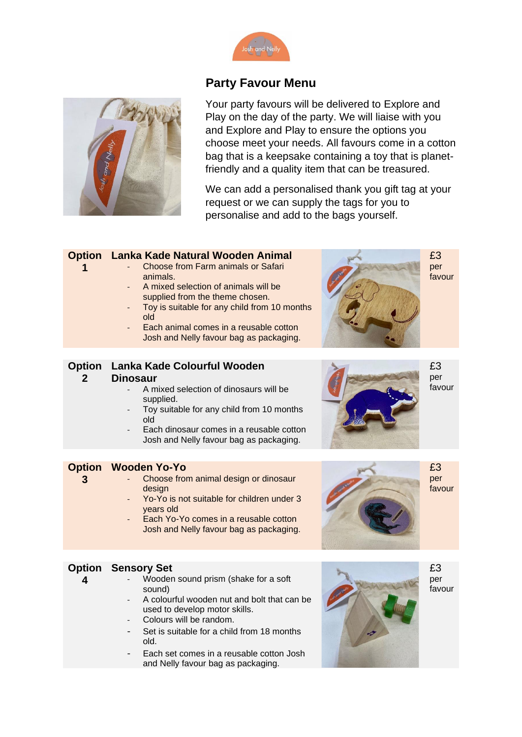

## **Party Favour Menu**



Your party favours will be delivered to Explore and Play on the day of the party. We will liaise with you and Explore and Play to ensure the options you choose meet your needs. All favours come in a cotton bag that is a keepsake containing a toy that is planetfriendly and a quality item that can be treasured.

We can add a personalised thank you gift tag at your request or we can supply the tags for you to personalise and add to the bags yourself.

## **Option Lanka Kade Natural Wooden Animal**

- Choose from Farm animals or Safari animals.
- A mixed selection of animals will be supplied from the theme chosen.
- Toy is suitable for any child from 10 months old
- Each animal comes in a reusable cotton Josh and Nelly favour bag as packaging.



£3 per favour

# **Option Lanka Kade Colourful Wooden**

#### **2 Dinosaur**

**1**

**3**

**4**

- A mixed selection of dinosaurs will be supplied.
- Toy suitable for any child from 10 months old
- Each dinosaur comes in a reusable cotton Josh and Nelly favour bag as packaging.

### **Option Wooden Yo-Yo**

- Choose from animal design or dinosaur design
- Yo-Yo is not suitable for children under 3 years old
- Each Yo-Yo comes in a reusable cotton Josh and Nelly favour bag as packaging.



£3

per favour

£3 per favour

#### **Option Sensory Set**

- Wooden sound prism (shake for a soft sound)
	- A colourful wooden nut and bolt that can be used to develop motor skills.
	- Colours will be random.
	- Set is suitable for a child from 18 months old.
	- Each set comes in a reusable cotton Josh and Nelly favour bag as packaging.



£3 per favour